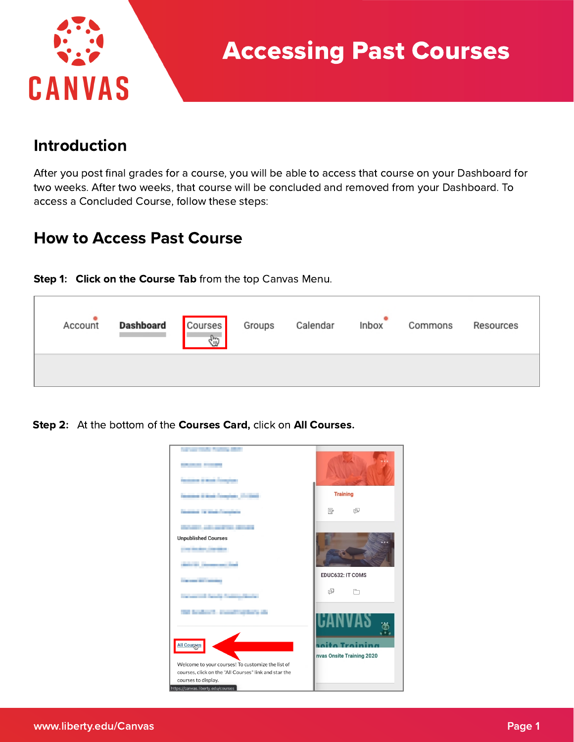

Accessing Past Courses

## Introduction

After you post final grades for a course, you will be able to access that course on your Dashboard for two weeks. After two weeks, that course will be concluded and removed from your Dashboard. To access a Concluded Course, follow these steps:

## How to Access Past Course

Step 1: Click on the Course Tab from the top Canvas Menu.

| Account | <b>Dashboard</b> | Courses<br>G | Groups | Calendar | Inbox | Commons | Resources |
|---------|------------------|--------------|--------|----------|-------|---------|-----------|
|         |                  |              |        |          |       |         |           |

Step 2: At the bottom of the Courses Card, click on All Courses.

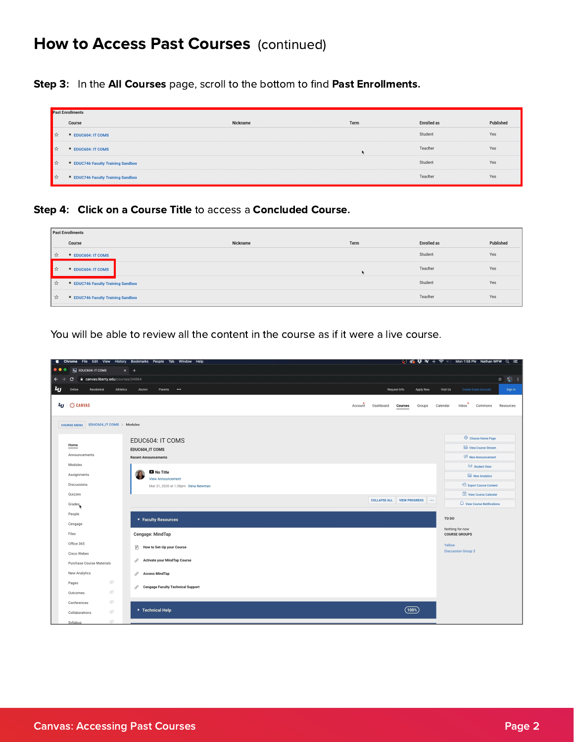# How to Access Past Courses (continued)

Step 3: In the All Courses page, scroll to the bottom to find Past Enrollments.

| <b>Past Enrollments</b> |                                         |          |      |                    |           |
|-------------------------|-----------------------------------------|----------|------|--------------------|-----------|
|                         | Course                                  | Nickname | Term | <b>Enrolled</b> as | Published |
| <b>大</b>                | <b>EDUC604: IT COMS</b>                 |          |      | Student            | Yes       |
| ■☆                      | <b>EDUC604: IT COMS</b>                 |          |      | Teacher            | Yes       |
| ■☆                      | <b>EDUC746 Faculty Training Sandbox</b> |          |      | Student            | Yes       |
| ■☆                      | <b>EDUC746 Faculty Training Sandbox</b> |          |      | Teacher            | Yes       |

#### Step 4: Click on a Course Title to access a Concluded Course.

| <b>Past Enrollments</b> |                                         |          |      |                    |           |
|-------------------------|-----------------------------------------|----------|------|--------------------|-----------|
|                         | Course                                  | Nickname | Term | <b>Enrolled</b> as | Published |
| ☆                       | <b>EDUC604: IT COMS</b>                 |          |      | Student            | Yes       |
| ■☆                      | <b>EDUC604: IT COMS</b>                 |          |      | Teacher            | Yes       |
| ☆                       | <b>EDUC746 Faculty Training Sandbox</b> |          |      | Student            | Yes       |
| ☆                       | <b>EDUC746 Faculty Training Sandbox</b> |          |      | Teacher            | Yes       |

You will be able to review all the content in the course as if it were a live course.

|                                                                      | Chrome File Edit View History Bookmarks People Tab Window Help |                                                  |                                                    |  |  |  |
|----------------------------------------------------------------------|----------------------------------------------------------------|--------------------------------------------------|----------------------------------------------------|--|--|--|
| $\bullet\bullet\bullet$<br>$\overline{4v}$ EDUC604: IT COMS<br>$x +$ |                                                                |                                                  |                                                    |  |  |  |
| C & canvas.liberty.edu/courses/34964<br>$\leftarrow$ $\rightarrow$   |                                                                |                                                  | ☆ 2 :                                              |  |  |  |
| $\mathbf{L}_{\mathbf{U}}$<br>Online<br>Residential<br>Athletics      | Alumni<br>Parents<br>$\cdots$                                  | Request Info<br>Apply Now                        | <b>Create Guest Account</b><br>Visit Us<br>Sign In |  |  |  |
|                                                                      |                                                                |                                                  |                                                    |  |  |  |
| $L_J$ $\otimes$ CANVAS                                               |                                                                | Dashboard<br><b>Courses</b><br>Account<br>Groups | Calendar<br>Inbox<br>Commons<br>Resources          |  |  |  |
|                                                                      |                                                                |                                                  |                                                    |  |  |  |
| EDUC604_IT COMS > Modules<br><b>COURSE MENU</b>                      |                                                                |                                                  |                                                    |  |  |  |
|                                                                      |                                                                |                                                  | © Choose Home Page                                 |  |  |  |
| Home                                                                 | EDUC604: IT COMS                                               |                                                  | <b>Inil</b> View Course Stream                     |  |  |  |
| Announcements                                                        | EDUC604_IT COMS                                                |                                                  |                                                    |  |  |  |
| Modules                                                              | <b>Recent Announcements</b>                                    |                                                  | New Announcement                                   |  |  |  |
|                                                                      | No Title                                                       |                                                  | $6d$ Student View                                  |  |  |  |
| Assignments                                                          | <b>View Announcement</b>                                       |                                                  | la New Analytics                                   |  |  |  |
| Discussions                                                          | Mar 31, 2020 at 1:38pm Dena Newman                             |                                                  | Export Course Content                              |  |  |  |
| Quizzes                                                              |                                                                |                                                  | View Course Calendar                               |  |  |  |
| Grades <sub></sub>                                                   |                                                                | <b>COLLAPSE ALL VIEW PROGRESS WILL</b>           | $\mathcal Q$ View Course Notifications             |  |  |  |
| People                                                               |                                                                |                                                  |                                                    |  |  |  |
| Cengage                                                              | ▼ Faculty Resources                                            |                                                  | TO DO                                              |  |  |  |
| Files                                                                | Cengage: MindTap                                               |                                                  | Nothing for now<br><b>COURSE GROUPS</b>            |  |  |  |
| Office 365                                                           |                                                                |                                                  | Yellow                                             |  |  |  |
| Cisco Webex                                                          | $\mathbb{P}$<br>How to Set-Up your Course                      |                                                  | <b>Discussion Group 3</b>                          |  |  |  |
|                                                                      | 8<br><b>Activate your MindTap Course</b>                       |                                                  |                                                    |  |  |  |
| Purchase Course Materials                                            |                                                                |                                                  |                                                    |  |  |  |
| <b>New Analytics</b>                                                 | <b>Access MindTap</b><br>Í                                     |                                                  |                                                    |  |  |  |
| Ø<br>Pages                                                           | <b>Cengage Faculty Technical Support</b><br>P                  |                                                  |                                                    |  |  |  |
| Ø<br>Outcomes                                                        |                                                                |                                                  |                                                    |  |  |  |
| Ø<br>Conferences                                                     |                                                                |                                                  |                                                    |  |  |  |
| Ø<br>Collaborations                                                  | ▶ Technical Help                                               | $\left(\overline{100\%}\right)$                  |                                                    |  |  |  |
| Ø<br>Syllabus                                                        |                                                                |                                                  |                                                    |  |  |  |
|                                                                      |                                                                |                                                  |                                                    |  |  |  |